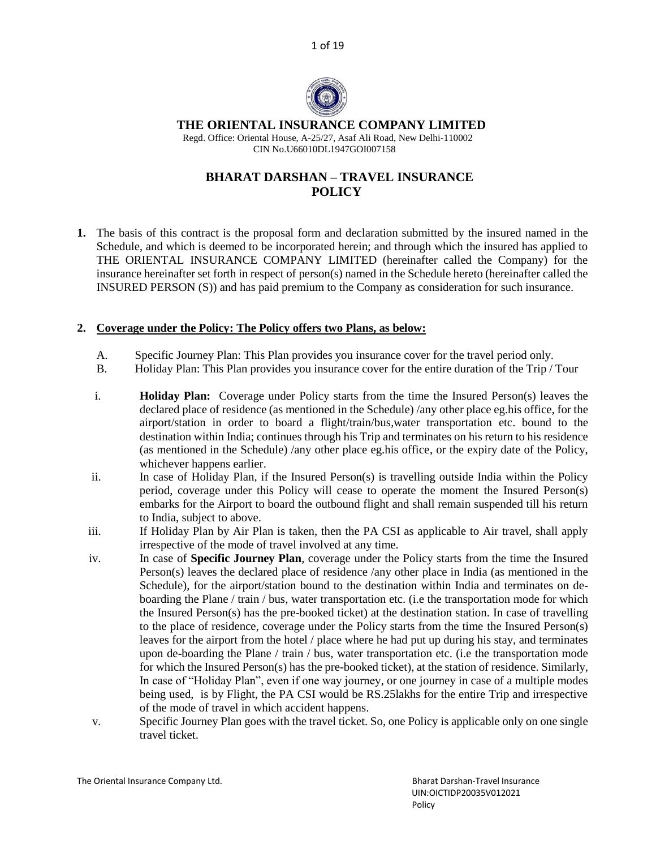1 of 19



# **THE ORIENTAL INSURANCE COMPANY LIMITED**

 Regd. Office: Oriental House, A-25/27, Asaf Ali Road, New Delhi-110002 CIN No.U66010DL1947GOI007158

# **BHARAT DARSHAN – TRAVEL INSURANCE POLICY**

**1.** The basis of this contract is the proposal form and declaration submitted by the insured named in the Schedule, and which is deemed to be incorporated herein; and through which the insured has applied to THE ORIENTAL INSURANCE COMPANY LIMITED (hereinafter called the Company) for the insurance hereinafter set forth in respect of person(s) named in the Schedule hereto (hereinafter called the INSURED PERSON (S)) and has paid premium to the Company as consideration for such insurance.

# **2. Coverage under the Policy: The Policy offers two Plans, as below:**

- A. Specific Journey Plan: This Plan provides you insurance cover for the travel period only.
- B. Holiday Plan: This Plan provides you insurance cover for the entire duration of the Trip / Tour
- i. **Holiday Plan:** Coverage under Policy starts from the time the Insured Person(s) leaves the declared place of residence (as mentioned in the Schedule) /any other place eg.his office, for the airport/station in order to board a flight/train/bus,water transportation etc. bound to the destination within India; continues through his Trip and terminates on his return to his residence (as mentioned in the Schedule) /any other place eg.his office, or the expiry date of the Policy, whichever happens earlier.
- ii. In case of Holiday Plan, if the Insured Person(s) is travelling outside India within the Policy period, coverage under this Policy will cease to operate the moment the Insured Person(s) embarks for the Airport to board the outbound flight and shall remain suspended till his return to India, subject to above.
- iii. If Holiday Plan by Air Plan is taken, then the PA CSI as applicable to Air travel, shall apply irrespective of the mode of travel involved at any time.
- iv. In case of **Specific Journey Plan**, coverage under the Policy starts from the time the Insured Person(s) leaves the declared place of residence /any other place in India (as mentioned in the Schedule), for the airport/station bound to the destination within India and terminates on deboarding the Plane / train / bus, water transportation etc. (i.e the transportation mode for which the Insured Person(s) has the pre-booked ticket) at the destination station. In case of travelling to the place of residence, coverage under the Policy starts from the time the Insured Person(s) leaves for the airport from the hotel / place where he had put up during his stay, and terminates upon de-boarding the Plane / train / bus, water transportation etc. (i.e the transportation mode for which the Insured Person(s) has the pre-booked ticket), at the station of residence. Similarly, In case of "Holiday Plan", even if one way journey, or one journey in case of a multiple modes being used, is by Flight, the PA CSI would be RS.25lakhs for the entire Trip and irrespective of the mode of travel in which accident happens.
- v. Specific Journey Plan goes with the travel ticket. So, one Policy is applicable only on one single travel ticket.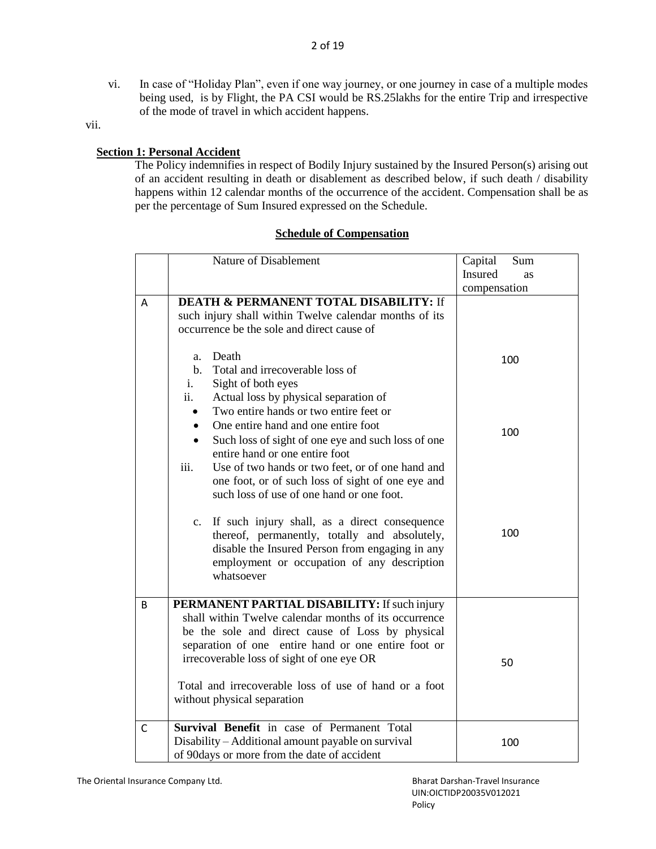vi. In case of "Holiday Plan", even if one way journey, or one journey in case of a multiple modes being used, is by Flight, the PA CSI would be RS.25lakhs for the entire Trip and irrespective of the mode of travel in which accident happens.

vii.

# **Section 1: Personal Accident**

The Policy indemnifies in respect of Bodily Injury sustained by the Insured Person(s) arising out of an accident resulting in death or disablement as described below, if such death / disability happens within 12 calendar months of the occurrence of the accident. Compensation shall be as per the percentage of Sum Insured expressed on the Schedule.

## **Schedule of Compensation**

|              | Nature of Disablement                                    | Capital<br>Sum |
|--------------|----------------------------------------------------------|----------------|
|              |                                                          | Insured<br>as  |
|              |                                                          | compensation   |
| Α            | <b>DEATH &amp; PERMANENT TOTAL DISABILITY: If</b>        |                |
|              | such injury shall within Twelve calendar months of its   |                |
|              | occurrence be the sole and direct cause of               |                |
|              | Death<br>a.                                              |                |
|              | Total and irrecoverable loss of<br>$\mathbf{b}$ .        | 100            |
|              | Sight of both eyes<br>i.                                 |                |
|              | ii.<br>Actual loss by physical separation of             |                |
|              | Two entire hands or two entire feet or                   |                |
|              | One entire hand and one entire foot                      |                |
|              | Such loss of sight of one eye and such loss of one       | 100            |
|              | entire hand or one entire foot                           |                |
|              | Use of two hands or two feet, or of one hand and<br>iii. |                |
|              | one foot, or of such loss of sight of one eye and        |                |
|              | such loss of use of one hand or one foot.                |                |
|              | c. If such injury shall, as a direct consequence         |                |
|              | thereof, permanently, totally and absolutely,            | 100            |
|              | disable the Insured Person from engaging in any          |                |
|              | employment or occupation of any description              |                |
|              | whatsoever                                               |                |
|              |                                                          |                |
| B            | PERMANENT PARTIAL DISABILITY: If such injury             |                |
|              | shall within Twelve calendar months of its occurrence    |                |
|              | be the sole and direct cause of Loss by physical         |                |
|              | separation of one entire hand or one entire foot or      |                |
|              | irrecoverable loss of sight of one eye OR                | 50             |
|              | Total and irrecoverable loss of use of hand or a foot    |                |
|              | without physical separation                              |                |
|              |                                                          |                |
| $\mathsf{C}$ | Survival Benefit in case of Permanent Total              |                |
|              | Disability - Additional amount payable on survival       | 100            |
|              | of 90days or more from the date of accident              |                |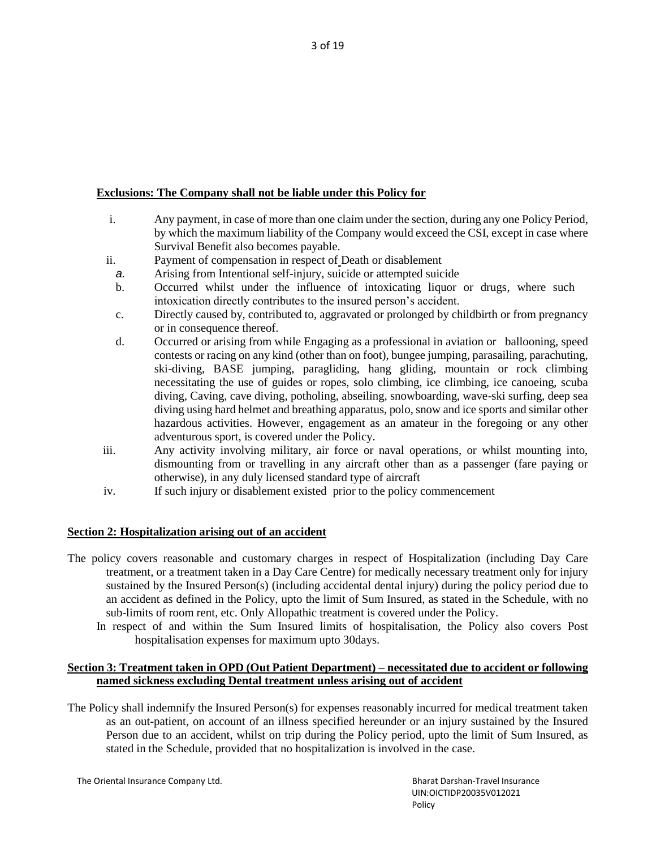# **Exclusions: The Company shall not be liable under this Policy for**

- i. Any payment, in case of more than one claim under the section, during any one Policy Period, by which the maximum liability of the Company would exceed the CSI, except in case where Survival Benefit also becomes payable.
- ii. Payment of compensation in respect of Death or disablement
- *a.* Arising from Intentional self-injury, suicide or attempted suicide
- b. Occurred whilst under the influence of intoxicating liquor or drugs, where such intoxication directly contributes to the insured person's accident.
- c. Directly caused by, contributed to, aggravated or prolonged by childbirth or from pregnancy or in consequence thereof.
- d. Occurred or arising from while Engaging as a professional in aviation or ballooning, speed contests or racing on any kind (other than on foot), bungee jumping, parasailing, parachuting, ski-diving, BASE jumping, paragliding, hang gliding, mountain or rock climbing necessitating the use of guides or ropes, solo climbing, ice climbing, ice canoeing, scuba diving, Caving, cave diving, potholing, abseiling, snowboarding, wave-ski surfing, deep sea diving using hard helmet and breathing apparatus, polo, snow and ice sports and similar other hazardous activities. However, engagement as an amateur in the foregoing or any other adventurous sport, is covered under the Policy.
- iii. Any activity involving military, air force or naval operations, or whilst mounting into, dismounting from or travelling in any aircraft other than as a passenger (fare paying or otherwise), in any duly licensed standard type of aircraft
- iv. If such injury or disablement existed prior to the policy commencement

## **Section 2: Hospitalization arising out of an accident**

- The policy covers reasonable and customary charges in respect of Hospitalization (including Day Care treatment, or a treatment taken in a Day Care Centre) for medically necessary treatment only for injury sustained by the Insured Person(s) (including accidental dental injury) during the policy period due to an accident as defined in the Policy, upto the limit of Sum Insured, as stated in the Schedule, with no sub-limits of room rent, etc. Only Allopathic treatment is covered under the Policy.
	- In respect of and within the Sum Insured limits of hospitalisation, the Policy also covers Post hospitalisation expenses for maximum upto 30days.

## **Section 3: Treatment taken in OPD (Out Patient Department) – necessitated due to accident or following named sickness excluding Dental treatment unless arising out of accident**

The Policy shall indemnify the Insured Person(s) for expenses reasonably incurred for medical treatment taken as an out-patient, on account of an illness specified hereunder or an injury sustained by the Insured Person due to an accident, whilst on trip during the Policy period, upto the limit of Sum Insured, as stated in the Schedule, provided that no hospitalization is involved in the case.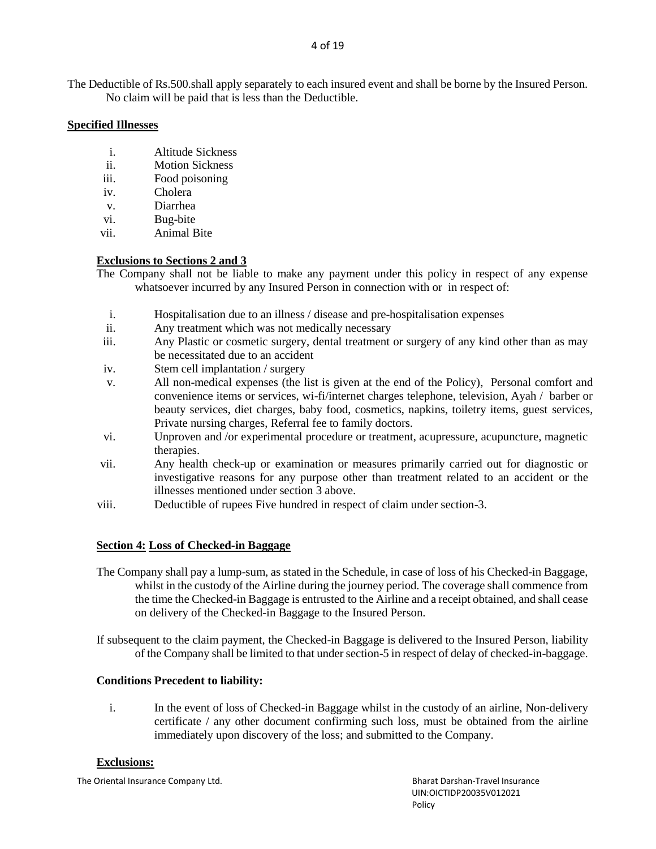The Deductible of Rs.500.shall apply separately to each insured event and shall be borne by the Insured Person. No claim will be paid that is less than the Deductible.

## **Specified Illnesses**

- i. Altitude Sickness
- ii. Motion Sickness
- iii. Food poisoning
- iv. Cholera
- v. Diarrhea
- vi. Bug-bite
- vii. Animal Bite

# **Exclusions to Sections 2 and 3**

- The Company shall not be liable to make any payment under this policy in respect of any expense whatsoever incurred by any Insured Person in connection with or in respect of:
	- i. Hospitalisation due to an illness / disease and pre-hospitalisation expenses
	- ii. Any treatment which was not medically necessary
	- iii. Any Plastic or cosmetic surgery, dental treatment or surgery of any kind other than as may be necessitated due to an accident
	- iv. Stem cell implantation / surgery
	- v. All non-medical expenses (the list is given at the end of the Policy), Personal comfort and convenience items or services, wi-fi/internet charges telephone, television, Ayah / barber or beauty services, diet charges, baby food, cosmetics, napkins, toiletry items, guest services, Private nursing charges, Referral fee to family doctors.
- vi. Unproven and /or experimental procedure or treatment, acupressure, acupuncture, magnetic therapies.
- vii. Any health check-up or examination or measures primarily carried out for diagnostic or investigative reasons for any purpose other than treatment related to an accident or the illnesses mentioned under section 3 above.
- viii. Deductible of rupees Five hundred in respect of claim under section-3.

# **Section 4: Loss of Checked-in Baggage**

- The Company shall pay a lump-sum, as stated in the Schedule, in case of loss of his Checked-in Baggage, whilst in the custody of the Airline during the journey period. The coverage shall commence from the time the Checked-in Baggage is entrusted to the Airline and a receipt obtained, and shall cease on delivery of the Checked-in Baggage to the Insured Person.
- If subsequent to the claim payment, the Checked-in Baggage is delivered to the Insured Person, liability of the Company shall be limited to that under section-5 in respect of delay of checked-in-baggage.

# **Conditions Precedent to liability:**

i. In the event of loss of Checked-in Baggage whilst in the custody of an airline, Non-delivery certificate / any other document confirming such loss, must be obtained from the airline immediately upon discovery of the loss; and submitted to the Company.

## **Exclusions:**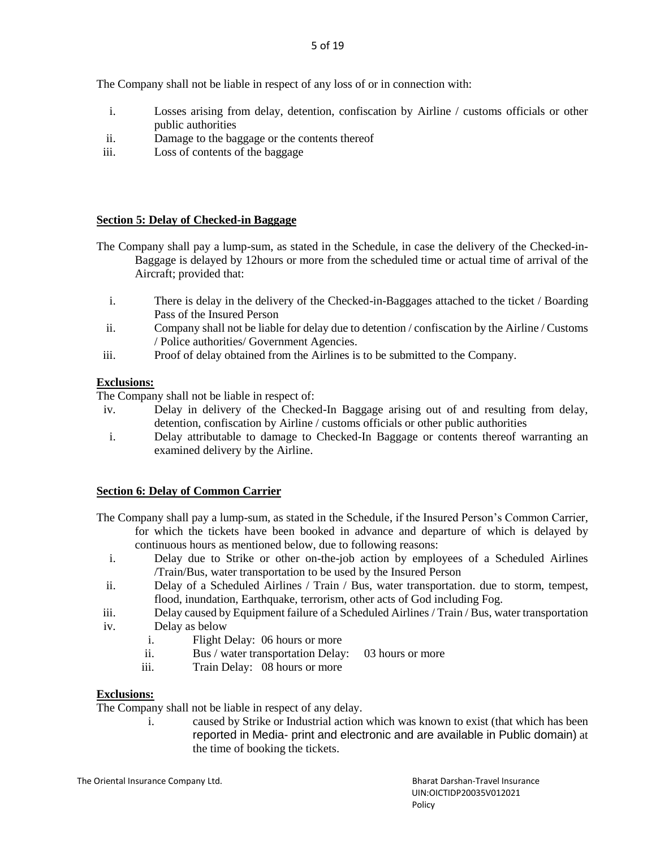The Company shall not be liable in respect of any loss of or in connection with:

- i. Losses arising from delay, detention, confiscation by Airline / customs officials or other public authorities
- ii. Damage to the baggage or the contents thereof
- iii. Loss of contents of the baggage

## **Section 5: Delay of Checked-in Baggage**

- The Company shall pay a lump-sum, as stated in the Schedule, in case the delivery of the Checked-in-Baggage is delayed by 12hours or more from the scheduled time or actual time of arrival of the Aircraft; provided that:
	- i. There is delay in the delivery of the Checked-in-Baggages attached to the ticket / Boarding Pass of the Insured Person
	- ii. Company shall not be liable for delay due to detention / confiscation by the Airline / Customs / Police authorities/ Government Agencies.
- iii. Proof of delay obtained from the Airlines is to be submitted to the Company.

# **Exclusions:**

The Company shall not be liable in respect of:

- iv. Delay in delivery of the Checked-In Baggage arising out of and resulting from delay, detention, confiscation by Airline / customs officials or other public authorities
- i. Delay attributable to damage to Checked-In Baggage or contents thereof warranting an examined delivery by the Airline.

## **Section 6: Delay of Common Carrier**

- The Company shall pay a lump-sum, as stated in the Schedule, if the Insured Person's Common Carrier, for which the tickets have been booked in advance and departure of which is delayed by continuous hours as mentioned below, due to following reasons:
	- i. Delay due to Strike or other on-the-job action by employees of a Scheduled Airlines /Train/Bus, water transportation to be used by the Insured Person
- ii. Delay of a Scheduled Airlines / Train / Bus, water transportation. due to storm, tempest, flood, inundation, Earthquake, terrorism, other acts of God including Fog.
- iii. Delay caused by Equipment failure of a Scheduled Airlines / Train / Bus, water transportation
- iv. Delay as below
	- i. Flight Delay: 06 hours or more
	- ii. Bus / water transportation Delay: 03 hours or more
	- iii. Train Delay: 08 hours or more

## **Exclusions:**

The Company shall not be liable in respect of any delay.

i. caused by Strike or Industrial action which was known to exist (that which has been reported in Media- print and electronic and are available in Public domain) at the time of booking the tickets.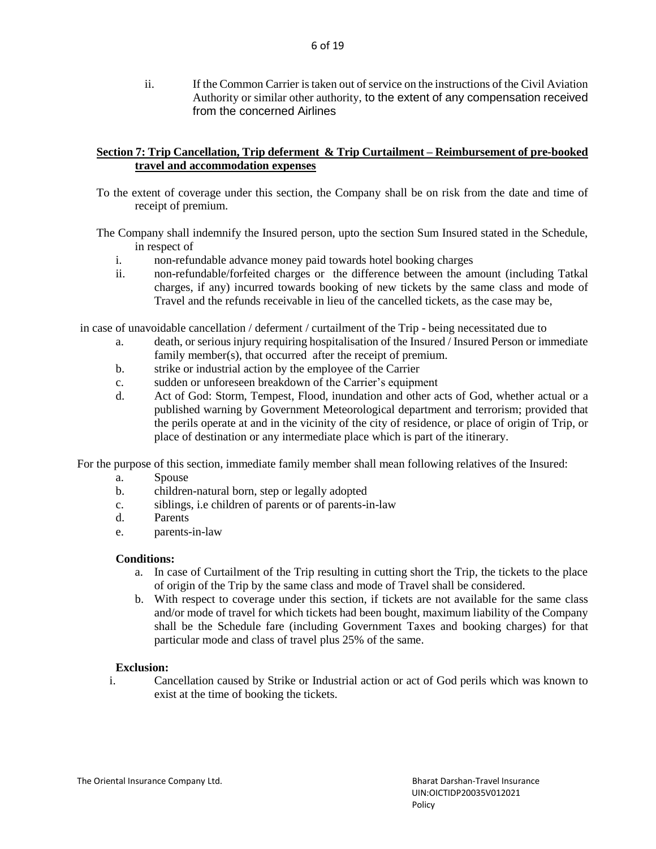ii. If the Common Carrier is taken out of service on the instructions of the Civil Aviation Authority or similar other authority, to the extent of any compensation received from the concerned Airlines

## **Section 7: Trip Cancellation, Trip deferment & Trip Curtailment – Reimbursement of pre-booked travel and accommodation expenses**

- To the extent of coverage under this section, the Company shall be on risk from the date and time of receipt of premium.
- The Company shall indemnify the Insured person, upto the section Sum Insured stated in the Schedule, in respect of
	- i. non-refundable advance money paid towards hotel booking charges
	- ii. non-refundable/forfeited charges or the difference between the amount (including Tatkal charges, if any) incurred towards booking of new tickets by the same class and mode of Travel and the refunds receivable in lieu of the cancelled tickets, as the case may be,

in case of unavoidable cancellation / deferment / curtailment of the Trip - being necessitated due to

- a. death, or serious injury requiring hospitalisation of the Insured / Insured Person or immediate family member(s), that occurred after the receipt of premium.
- b. strike or industrial action by the employee of the Carrier
- c. sudden or unforeseen breakdown of the Carrier's equipment
- d. Act of God: Storm, Tempest, Flood, inundation and other acts of God, whether actual or a published warning by Government Meteorological department and terrorism; provided that the perils operate at and in the vicinity of the city of residence, or place of origin of Trip, or place of destination or any intermediate place which is part of the itinerary.

For the purpose of this section, immediate family member shall mean following relatives of the Insured:

- a. Spouse
- b. children-natural born, step or legally adopted
- c. siblings, i.e children of parents or of parents-in-law
- d. Parents
- e. parents-in-law

#### **Conditions:**

- a. In case of Curtailment of the Trip resulting in cutting short the Trip, the tickets to the place of origin of the Trip by the same class and mode of Travel shall be considered.
- b. With respect to coverage under this section, if tickets are not available for the same class and/or mode of travel for which tickets had been bought, maximum liability of the Company shall be the Schedule fare (including Government Taxes and booking charges) for that particular mode and class of travel plus 25% of the same.

#### **Exclusion:**

i. Cancellation caused by Strike or Industrial action or act of God perils which was known to exist at the time of booking the tickets.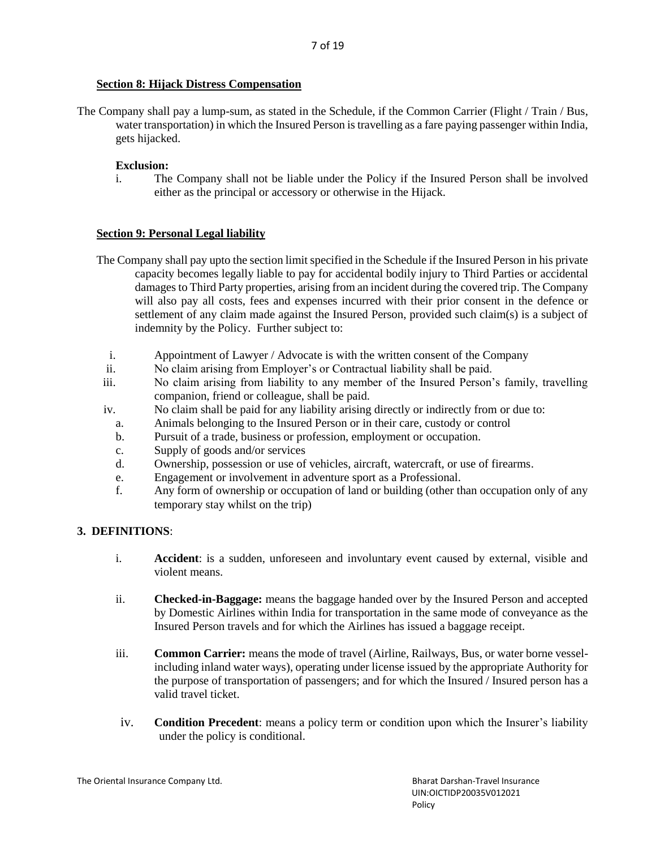## **Section 8: Hijack Distress Compensation**

The Company shall pay a lump-sum, as stated in the Schedule, if the Common Carrier (Flight / Train / Bus, water transportation) in which the Insured Person is travelling as a fare paying passenger within India, gets hijacked.

# **Exclusion:**

i. The Company shall not be liable under the Policy if the Insured Person shall be involved either as the principal or accessory or otherwise in the Hijack.

# **Section 9: Personal Legal liability**

- The Company shall pay upto the section limit specified in the Schedule if the Insured Person in his private capacity becomes legally liable to pay for accidental bodily injury to Third Parties or accidental damages to Third Party properties, arising from an incident during the covered trip. The Company will also pay all costs, fees and expenses incurred with their prior consent in the defence or settlement of any claim made against the Insured Person, provided such claim(s) is a subject of indemnity by the Policy. Further subject to:
	- i. Appointment of Lawyer / Advocate is with the written consent of the Company
	- ii. No claim arising from Employer's or Contractual liability shall be paid.
- iii. No claim arising from liability to any member of the Insured Person's family, travelling companion, friend or colleague, shall be paid.
- iv. No claim shall be paid for any liability arising directly or indirectly from or due to:
	- a. Animals belonging to the Insured Person or in their care, custody or control
	- b. Pursuit of a trade, business or profession, employment or occupation.
	- c. Supply of goods and/or services
	- d. Ownership, possession or use of vehicles, aircraft, watercraft, or use of firearms.
	- e. Engagement or involvement in adventure sport as a Professional.
	- f. Any form of ownership or occupation of land or building (other than occupation only of any temporary stay whilst on the trip)

# **3. DEFINITIONS**:

- i. **Accident**: is a sudden, unforeseen and involuntary event caused by external, visible and violent means.
- ii. **Checked-in-Baggage:** means the baggage handed over by the Insured Person and accepted by Domestic Airlines within India for transportation in the same mode of conveyance as the Insured Person travels and for which the Airlines has issued a baggage receipt.
- iii. **Common Carrier:** means the mode of travel (Airline, Railways, Bus, or water borne vesselincluding inland water ways), operating under license issued by the appropriate Authority for the purpose of transportation of passengers; and for which the Insured / Insured person has a valid travel ticket.
- iv. **Condition Precedent**: means a policy term or condition upon which the Insurer's liability under the policy is conditional.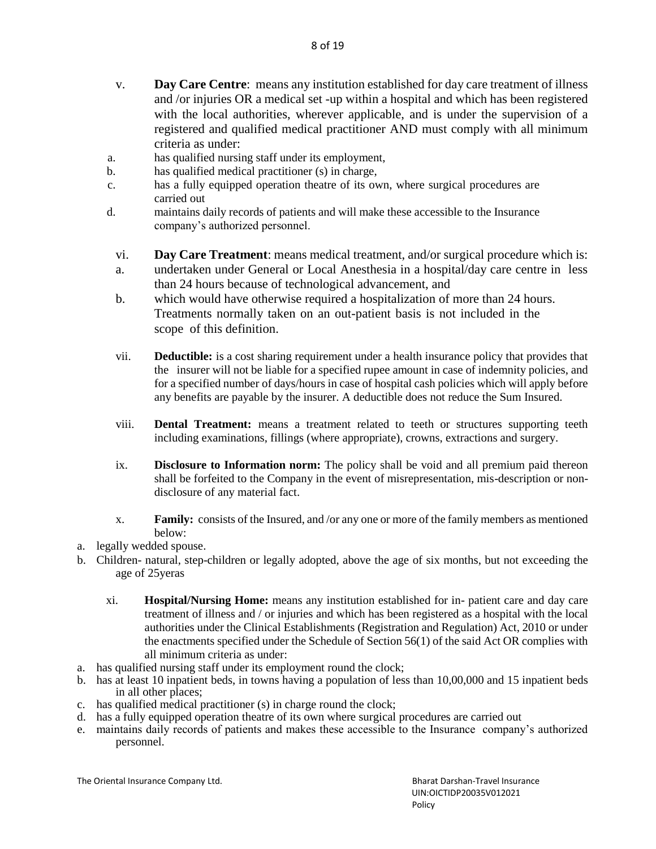- v. **Day Care Centre**: means any institution established for day care treatment of illness and /or injuries OR a medical set -up within a hospital and which has been registered with the local authorities, wherever applicable, and is under the supervision of a registered and qualified medical practitioner AND must comply with all minimum criteria as under:
- a. has qualified nursing staff under its employment,
- b. has qualified medical practitioner (s) in charge,
- c. has a fully equipped operation theatre of its own, where surgical procedures are carried out
- d. maintains daily records of patients and will make these accessible to the Insurance company's authorized personnel.
	- vi. **Day Care Treatment**: means medical treatment, and/or surgical procedure which is:
	- a. undertaken under General or Local Anesthesia in a hospital/day care centre in less than 24 hours because of technological advancement, and
	- b. which would have otherwise required a hospitalization of more than 24 hours. Treatments normally taken on an out-patient basis is not included in the scope of this definition.
	- vii. **Deductible:** is a cost sharing requirement under a health insurance policy that provides that the insurer will not be liable for a specified rupee amount in case of indemnity policies, and for a specified number of days/hours in case of hospital cash policies which will apply before any benefits are payable by the insurer. A deductible does not reduce the Sum Insured.
	- viii. **Dental Treatment:** means a treatment related to teeth or structures supporting teeth including examinations, fillings (where appropriate), crowns, extractions and surgery.
	- ix. **Disclosure to Information norm:** The policy shall be void and all premium paid thereon shall be forfeited to the Company in the event of misrepresentation, mis-description or nondisclosure of any material fact.
	- x. **Family:** consists of the Insured, and /or any one or more of the family members as mentioned below:
- a. legally wedded spouse.
- b. Children- natural, step-children or legally adopted, above the age of six months, but not exceeding the age of 25yeras
	- xi. **Hospital/Nursing Home:** means any institution established for in- patient care and day care treatment of illness and / or injuries and which has been registered as a hospital with the local authorities under the Clinical Establishments (Registration and Regulation) Act, 2010 or under the enactments specified under the Schedule of Section 56(1) of the said Act OR complies with all minimum criteria as under:
- a. has qualified nursing staff under its employment round the clock;
- b. has at least 10 inpatient beds, in towns having a population of less than 10,00,000 and 15 inpatient beds in all other places;
- c. has qualified medical practitioner (s) in charge round the clock;
- d. has a fully equipped operation theatre of its own where surgical procedures are carried out
- e. maintains daily records of patients and makes these accessible to the Insurance company's authorized personnel.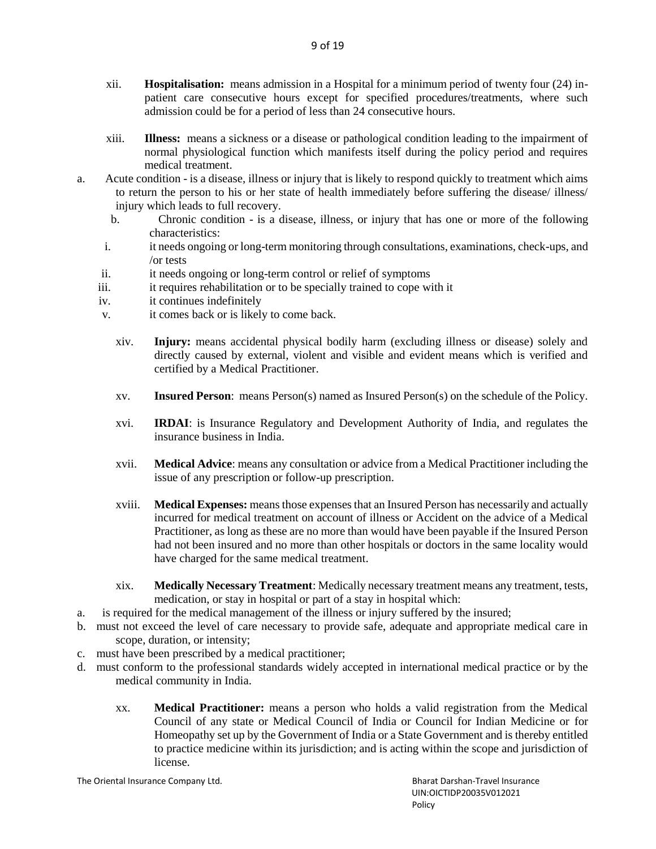- xii. **Hospitalisation:** means admission in a Hospital for a minimum period of twenty four (24) inpatient care consecutive hours except for specified procedures/treatments, where such admission could be for a period of less than 24 consecutive hours.
- xiii. **Illness:** means a sickness or a disease or pathological condition leading to the impairment of normal physiological function which manifests itself during the policy period and requires medical treatment.
- a. Acute condition is a disease, illness or injury that is likely to respond quickly to treatment which aims to return the person to his or her state of health immediately before suffering the disease/ illness/ injury which leads to full recovery.
	- b. Chronic condition is a disease, illness, or injury that has one or more of the following characteristics:
	- i. it needs ongoing or long-term monitoring through consultations, examinations, check-ups, and /or tests
	- ii. it needs ongoing or long-term control or relief of symptoms
	- iii. it requires rehabilitation or to be specially trained to cope with it
	- iv. it continues indefinitely
	- v. it comes back or is likely to come back.
		- xiv. **Injury:** means accidental physical bodily harm (excluding illness or disease) solely and directly caused by external, violent and visible and evident means which is verified and certified by a Medical Practitioner.
		- xv. **Insured Person**: means Person(s) named as Insured Person(s) on the schedule of the Policy.
		- xvi. **IRDAI**: is Insurance Regulatory and Development Authority of India, and regulates the insurance business in India.
		- xvii. **Medical Advice**: means any consultation or advice from a Medical Practitioner including the issue of any prescription or follow-up prescription.
		- xviii. **Medical Expenses:** means those expenses that an Insured Person has necessarily and actually incurred for medical treatment on account of illness or Accident on the advice of a Medical Practitioner, as long as these are no more than would have been payable if the Insured Person had not been insured and no more than other hospitals or doctors in the same locality would have charged for the same medical treatment.
		- xix. **Medically Necessary Treatment**: Medically necessary treatment means any treatment, tests, medication, or stay in hospital or part of a stay in hospital which:
- a. is required for the medical management of the illness or injury suffered by the insured;
- b. must not exceed the level of care necessary to provide safe, adequate and appropriate medical care in scope, duration, or intensity;
- c. must have been prescribed by a medical practitioner;
- d. must conform to the professional standards widely accepted in international medical practice or by the medical community in India.
	- xx. **Medical Practitioner:** means a person who holds a valid registration from the Medical Council of any state or Medical Council of India or Council for Indian Medicine or for Homeopathy set up by the Government of India or a State Government and is thereby entitled to practice medicine within its jurisdiction; and is acting within the scope and jurisdiction of license.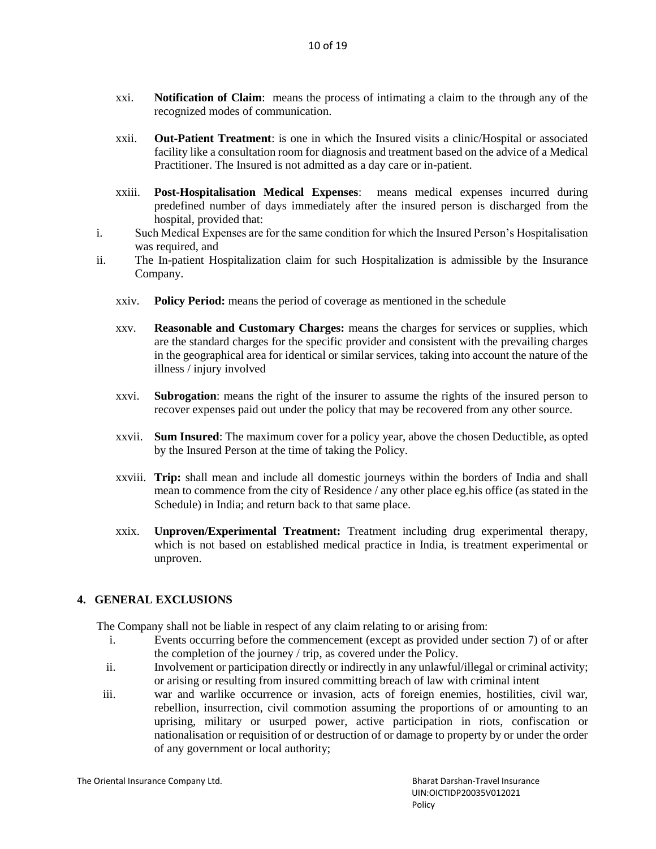- xxi. **Notification of Claim**: means the process of intimating a claim to the through any of the recognized modes of communication.
- xxii. **Out-Patient Treatment**: is one in which the Insured visits a clinic/Hospital or associated facility like a consultation room for diagnosis and treatment based on the advice of a Medical Practitioner. The Insured is not admitted as a day care or in-patient.
- xxiii. **Post-Hospitalisation Medical Expenses**: means medical expenses incurred during predefined number of days immediately after the insured person is discharged from the hospital, provided that:
- i. Such Medical Expenses are for the same condition for which the Insured Person's Hospitalisation was required, and
- ii. The In-patient Hospitalization claim for such Hospitalization is admissible by the Insurance Company.
	- xxiv. **Policy Period:** means the period of coverage as mentioned in the schedule
	- xxv. **Reasonable and Customary Charges:** means the charges for services or supplies, which are the standard charges for the specific provider and consistent with the prevailing charges in the geographical area for identical or similar services, taking into account the nature of the illness / injury involved
	- xxvi. **Subrogation**: means the right of the insurer to assume the rights of the insured person to recover expenses paid out under the policy that may be recovered from any other source.
	- xxvii. **Sum Insured**: The maximum cover for a policy year, above the chosen Deductible, as opted by the Insured Person at the time of taking the Policy.
	- xxviii. **Trip:** shall mean and include all domestic journeys within the borders of India and shall mean to commence from the city of Residence / any other place eg.his office (as stated in the Schedule) in India; and return back to that same place.
	- xxix. **Unproven/Experimental Treatment:** Treatment including drug experimental therapy, which is not based on established medical practice in India, is treatment experimental or unproven.

# **4. GENERAL EXCLUSIONS**

The Company shall not be liable in respect of any claim relating to or arising from:

- i. Events occurring before the commencement (except as provided under section 7) of or after the completion of the journey / trip, as covered under the Policy.
- ii. Involvement or participation directly or indirectly in any unlawful/illegal or criminal activity; or arising or resulting from insured committing breach of law with criminal intent
- iii. war and warlike occurrence or invasion, acts of foreign enemies, hostilities, civil war, rebellion, insurrection, civil commotion assuming the proportions of or amounting to an uprising, military or usurped power, active participation in riots, confiscation or nationalisation or requisition of or destruction of or damage to property by or under the order of any government or local authority;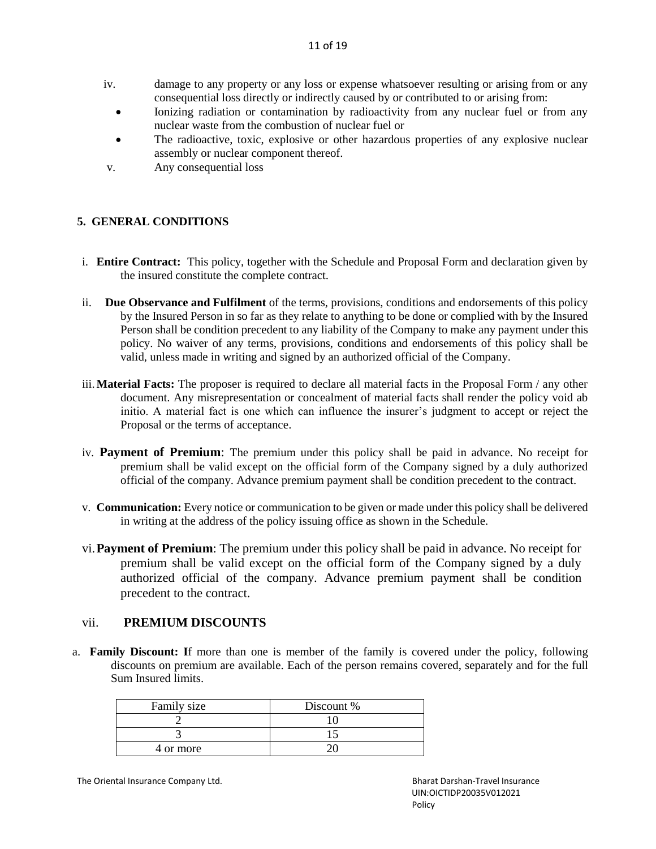- iv. damage to any property or any loss or expense whatsoever resulting or arising from or any consequential loss directly or indirectly caused by or contributed to or arising from:
	- Ionizing radiation or contamination by radioactivity from any nuclear fuel or from any nuclear waste from the combustion of nuclear fuel or
	- The radioactive, toxic, explosive or other hazardous properties of any explosive nuclear assembly or nuclear component thereof.
- v. Any consequential loss

# **5. GENERAL CONDITIONS**

- i. **Entire Contract:** This policy, together with the Schedule and Proposal Form and declaration given by the insured constitute the complete contract.
- ii. **Due Observance and Fulfilment** of the terms, provisions, conditions and endorsements of this policy by the Insured Person in so far as they relate to anything to be done or complied with by the Insured Person shall be condition precedent to any liability of the Company to make any payment under this policy. No waiver of any terms, provisions, conditions and endorsements of this policy shall be valid, unless made in writing and signed by an authorized official of the Company.
- iii.**Material Facts:** The proposer is required to declare all material facts in the Proposal Form / any other document. Any misrepresentation or concealment of material facts shall render the policy void ab initio. A material fact is one which can influence the insurer's judgment to accept or reject the Proposal or the terms of acceptance.
- iv. **Payment of Premium**: The premium under this policy shall be paid in advance. No receipt for premium shall be valid except on the official form of the Company signed by a duly authorized official of the company. Advance premium payment shall be condition precedent to the contract.
- v. **Communication:** Every notice or communication to be given or made under this policy shall be delivered in writing at the address of the policy issuing office as shown in the Schedule.
- vi.**Payment of Premium**: The premium under this policy shall be paid in advance. No receipt for premium shall be valid except on the official form of the Company signed by a duly authorized official of the company. Advance premium payment shall be condition precedent to the contract.

# vii. **PREMIUM DISCOUNTS**

a. **Family Discount: I**f more than one is member of the family is covered under the policy, following discounts on premium are available. Each of the person remains covered, separately and for the full Sum Insured limits.

| Family size | Discount % |
|-------------|------------|
|             |            |
|             |            |
| 4 or more   |            |

The Oriental Insurance Company Ltd. **Bharat Darshan-Travel Insurance** Company Ltd. **Bharat Darshan-Travel Insurance** 

 UIN:OICTIDP20035V012021 en and the contract of the contract of the Policy Policy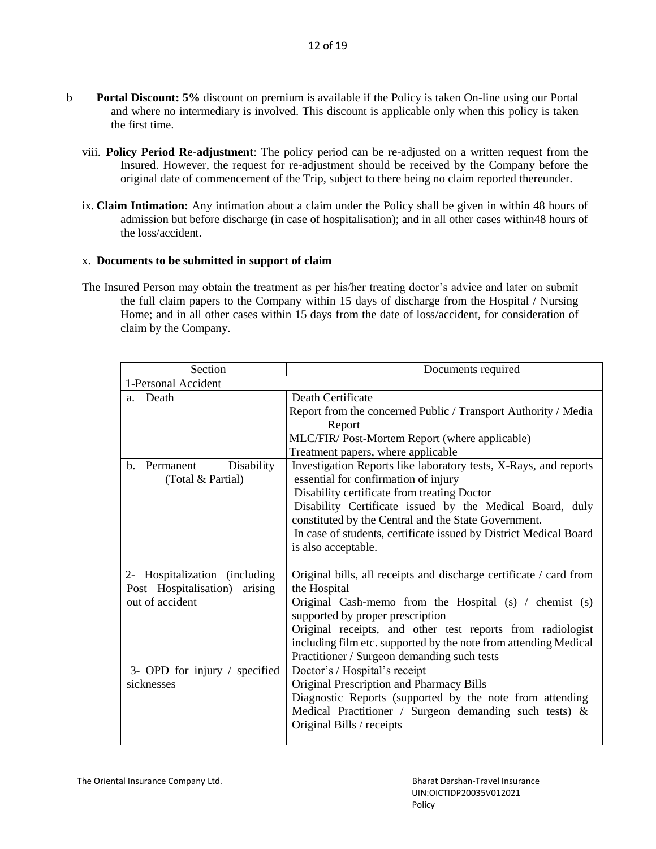- b **Portal Discount: 5%** discount on premium is available if the Policy is taken On-line using our Portal and where no intermediary is involved. This discount is applicable only when this policy is taken the first time.
	- viii. **Policy Period Re-adjustment**: The policy period can be re-adjusted on a written request from the Insured. However, the request for re-adjustment should be received by the Company before the original date of commencement of the Trip, subject to there being no claim reported thereunder.
	- ix. **Claim Intimation:** Any intimation about a claim under the Policy shall be given in within 48 hours of admission but before discharge (in case of hospitalisation); and in all other cases within48 hours of the loss/accident.

## x. **Documents to be submitted in support of claim**

The Insured Person may obtain the treatment as per his/her treating doctor's advice and later on submit the full claim papers to the Company within 15 days of discharge from the Hospital / Nursing Home; and in all other cases within 15 days from the date of loss/accident, for consideration of claim by the Company.

| Section                                                           | Documents required                                                                                       |  |
|-------------------------------------------------------------------|----------------------------------------------------------------------------------------------------------|--|
| 1-Personal Accident                                               |                                                                                                          |  |
| Death<br>a.                                                       | Death Certificate                                                                                        |  |
|                                                                   | Report from the concerned Public / Transport Authority / Media                                           |  |
|                                                                   | Report                                                                                                   |  |
|                                                                   | MLC/FIR/ Post-Mortem Report (where applicable)                                                           |  |
|                                                                   | Treatment papers, where applicable                                                                       |  |
| Disability<br>$\mathbf{b}$ .<br>Permanent<br>(Total & Partial)    | Investigation Reports like laboratory tests, X-Rays, and reports<br>essential for confirmation of injury |  |
|                                                                   | Disability certificate from treating Doctor                                                              |  |
|                                                                   | Disability Certificate issued by the Medical Board, duly                                                 |  |
|                                                                   | constituted by the Central and the State Government.                                                     |  |
|                                                                   | In case of students, certificate issued by District Medical Board                                        |  |
|                                                                   | is also acceptable.                                                                                      |  |
|                                                                   |                                                                                                          |  |
| 2- Hospitalization (including<br>Post Hospitalisation)<br>arising | Original bills, all receipts and discharge certificate / card from<br>the Hospital                       |  |
| out of accident                                                   | Original Cash-memo from the Hospital (s) / chemist (s)                                                   |  |
|                                                                   | supported by proper prescription                                                                         |  |
|                                                                   | Original receipts, and other test reports from radiologist                                               |  |
|                                                                   | including film etc. supported by the note from attending Medical                                         |  |
|                                                                   | Practitioner / Surgeon demanding such tests                                                              |  |
| 3- OPD for injury / specified                                     | Doctor's / Hospital's receipt                                                                            |  |
| sicknesses                                                        | Original Prescription and Pharmacy Bills                                                                 |  |
|                                                                   | Diagnostic Reports (supported by the note from attending                                                 |  |
|                                                                   | Medical Practitioner / Surgeon demanding such tests) $\&$                                                |  |
|                                                                   | Original Bills / receipts                                                                                |  |
|                                                                   |                                                                                                          |  |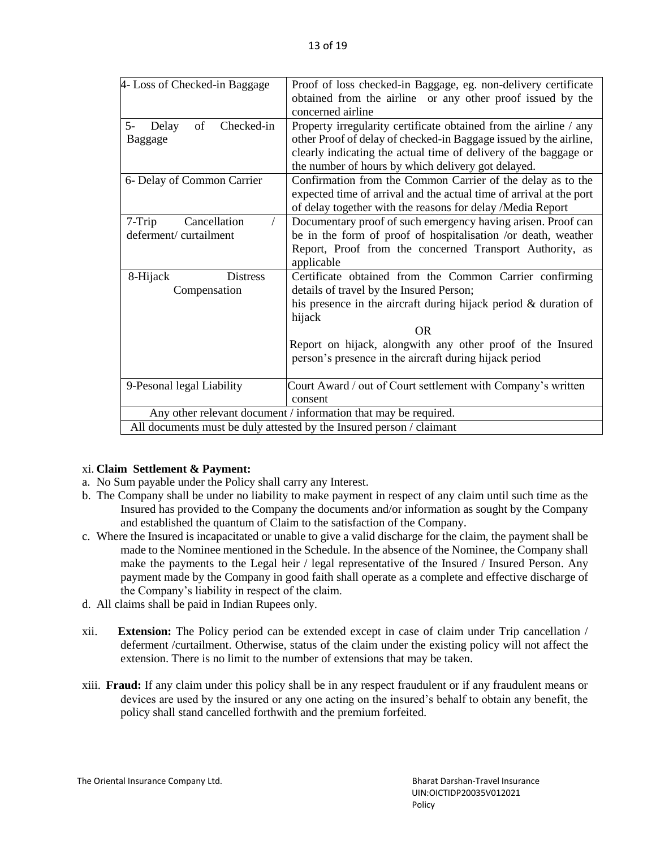| 4- Loss of Checked-in Baggage                                   | Proof of loss checked-in Baggage, eg. non-delivery certificate<br>obtained from the airline or any other proof issued by the<br>concerned airline                                                                                                                                                                        |  |  |
|-----------------------------------------------------------------|--------------------------------------------------------------------------------------------------------------------------------------------------------------------------------------------------------------------------------------------------------------------------------------------------------------------------|--|--|
| of<br>Checked-in<br>$5-$<br>Delay<br><b>Baggage</b>             | Property irregularity certificate obtained from the airline / any<br>other Proof of delay of checked-in Baggage issued by the airline,<br>clearly indicating the actual time of delivery of the baggage or<br>the number of hours by which delivery got delayed.                                                         |  |  |
| 6- Delay of Common Carrier                                      | Confirmation from the Common Carrier of the delay as to the<br>expected time of arrival and the actual time of arrival at the port<br>of delay together with the reasons for delay /Media Report                                                                                                                         |  |  |
| Cancellation<br>$7-Trip$<br>deferment/curtailment               | Documentary proof of such emergency having arisen. Proof can<br>be in the form of proof of hospitalisation /or death, weather<br>Report, Proof from the concerned Transport Authority, as<br>applicable                                                                                                                  |  |  |
| 8-Hijack<br><b>Distress</b><br>Compensation                     | Certificate obtained from the Common Carrier confirming<br>details of travel by the Insured Person;<br>his presence in the aircraft during hijack period $\&$ duration of<br>hijack<br><b>OR</b><br>Report on hijack, alongwith any other proof of the Insured<br>person's presence in the aircraft during hijack period |  |  |
| 9-Pesonal legal Liability                                       | Court Award / out of Court settlement with Company's written<br>consent                                                                                                                                                                                                                                                  |  |  |
| Any other relevant document / information that may be required. |                                                                                                                                                                                                                                                                                                                          |  |  |
|                                                                 | All documents must be duly attested by the Insured person / claimant                                                                                                                                                                                                                                                     |  |  |

## xi. **Claim Settlement & Payment:**

- a. No Sum payable under the Policy shall carry any Interest.
- b. The Company shall be under no liability to make payment in respect of any claim until such time as the Insured has provided to the Company the documents and/or information as sought by the Company and established the quantum of Claim to the satisfaction of the Company.
- c. Where the Insured is incapacitated or unable to give a valid discharge for the claim, the payment shall be made to the Nominee mentioned in the Schedule. In the absence of the Nominee, the Company shall make the payments to the Legal heir / legal representative of the Insured / Insured Person. Any payment made by the Company in good faith shall operate as a complete and effective discharge of the Company's liability in respect of the claim.
- d. All claims shall be paid in Indian Rupees only.
- xii. **Extension:** The Policy period can be extended except in case of claim under Trip cancellation / deferment /curtailment. Otherwise, status of the claim under the existing policy will not affect the extension. There is no limit to the number of extensions that may be taken.
- xiii. **Fraud:** If any claim under this policy shall be in any respect fraudulent or if any fraudulent means or devices are used by the insured or any one acting on the insured's behalf to obtain any benefit, the policy shall stand cancelled forthwith and the premium forfeited.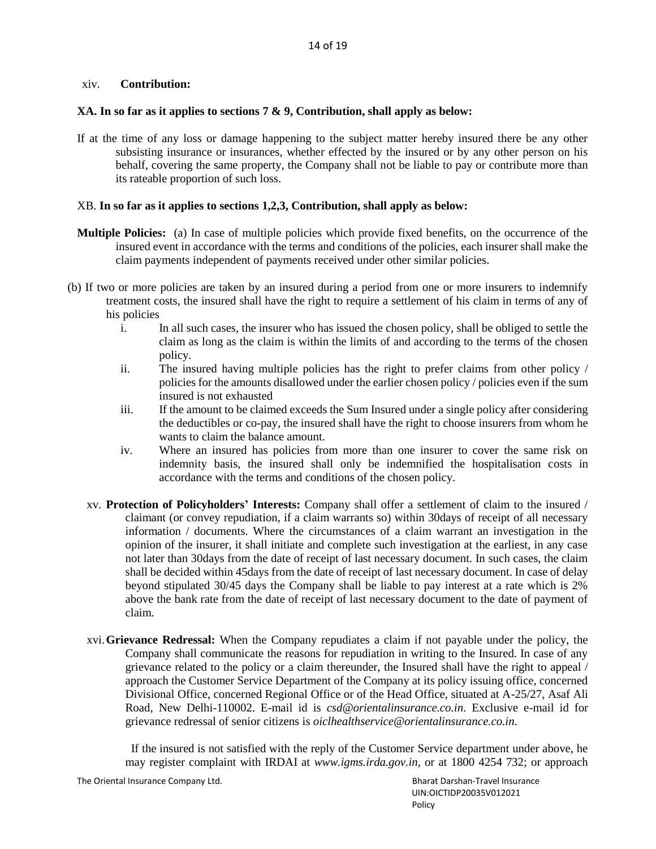## xiv. **Contribution:**

### **XA. In so far as it applies to sections 7 & 9, Contribution, shall apply as below:**

If at the time of any loss or damage happening to the subject matter hereby insured there be any other subsisting insurance or insurances, whether effected by the insured or by any other person on his behalf, covering the same property, the Company shall not be liable to pay or contribute more than its rateable proportion of such loss.

### XB. **In so far as it applies to sections 1,2,3, Contribution, shall apply as below:**

- **Multiple Policies:** (a) In case of multiple policies which provide fixed benefits, on the occurrence of the insured event in accordance with the terms and conditions of the policies, each insurer shall make the claim payments independent of payments received under other similar policies.
- (b) If two or more policies are taken by an insured during a period from one or more insurers to indemnify treatment costs, the insured shall have the right to require a settlement of his claim in terms of any of his policies
	- i. In all such cases, the insurer who has issued the chosen policy, shall be obliged to settle the claim as long as the claim is within the limits of and according to the terms of the chosen policy.
	- ii. The insured having multiple policies has the right to prefer claims from other policy / policies for the amounts disallowed under the earlier chosen policy / policies even if the sum insured is not exhausted
	- iii. If the amount to be claimed exceeds the Sum Insured under a single policy after considering the deductibles or co-pay, the insured shall have the right to choose insurers from whom he wants to claim the balance amount.
	- iv. Where an insured has policies from more than one insurer to cover the same risk on indemnity basis, the insured shall only be indemnified the hospitalisation costs in accordance with the terms and conditions of the chosen policy.
	- xv. **Protection of Policyholders' Interests:** Company shall offer a settlement of claim to the insured / claimant (or convey repudiation, if a claim warrants so) within 30days of receipt of all necessary information / documents. Where the circumstances of a claim warrant an investigation in the opinion of the insurer, it shall initiate and complete such investigation at the earliest, in any case not later than 30days from the date of receipt of last necessary document. In such cases, the claim shall be decided within 45days from the date of receipt of last necessary document. In case of delay beyond stipulated 30/45 days the Company shall be liable to pay interest at a rate which is 2% above the bank rate from the date of receipt of last necessary document to the date of payment of claim.
	- xvi.**Grievance Redressal:** When the Company repudiates a claim if not payable under the policy, the Company shall communicate the reasons for repudiation in writing to the Insured. In case of any grievance related to the policy or a claim thereunder, the Insured shall have the right to appeal / approach the Customer Service Department of the Company at its policy issuing office, concerned Divisional Office, concerned Regional Office or of the Head Office, situated at A-25/27, Asaf Ali Road, New Delhi-110002. E-mail id is *[csd@orientalinsurance.co.in](mailto:csd@orientalinsurance.co.in)*. Exclusive e-mail id for grievance redressal of senior citizens is *[oiclhealthservice@orientalinsurance.co.in](mailto:oiclhealthservice@orientalinsurance.co.in)*.

 If the insured is not satisfied with the reply of the Customer Service department under above, he may register complaint with IRDAI at *[www.igms.irda.gov.in,](http://www.igms.irda.gov.in/)* or at 1800 4254 732; or approach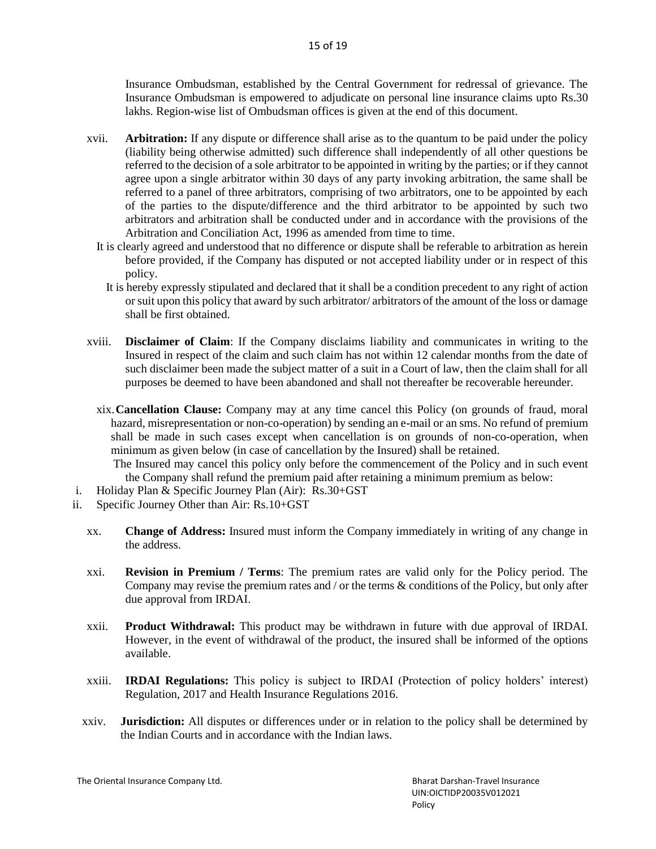Insurance Ombudsman, established by the Central Government for redressal of grievance. The Insurance Ombudsman is empowered to adjudicate on personal line insurance claims upto Rs.30 lakhs. Region-wise list of Ombudsman offices is given at the end of this document.

- xvii. **Arbitration:** If any dispute or difference shall arise as to the quantum to be paid under the policy (liability being otherwise admitted) such difference shall independently of all other questions be referred to the decision of a sole arbitrator to be appointed in writing by the parties; or if they cannot agree upon a single arbitrator within 30 days of any party invoking arbitration, the same shall be referred to a panel of three arbitrators, comprising of two arbitrators, one to be appointed by each of the parties to the dispute/difference and the third arbitrator to be appointed by such two arbitrators and arbitration shall be conducted under and in accordance with the provisions of the Arbitration and Conciliation Act, 1996 as amended from time to time.
	- It is clearly agreed and understood that no difference or dispute shall be referable to arbitration as herein before provided, if the Company has disputed or not accepted liability under or in respect of this policy.
		- It is hereby expressly stipulated and declared that it shall be a condition precedent to any right of action or suit upon this policy that award by such arbitrator/ arbitrators of the amount of the loss or damage shall be first obtained.
- xviii. **Disclaimer of Claim**: If the Company disclaims liability and communicates in writing to the Insured in respect of the claim and such claim has not within 12 calendar months from the date of such disclaimer been made the subject matter of a suit in a Court of law, then the claim shall for all purposes be deemed to have been abandoned and shall not thereafter be recoverable hereunder.
	- xix.**Cancellation Clause:** Company may at any time cancel this Policy (on grounds of fraud, moral hazard, misrepresentation or non-co-operation) by sending an e-mail or an sms. No refund of premium shall be made in such cases except when cancellation is on grounds of non-co-operation, when minimum as given below (in case of cancellation by the Insured) shall be retained.

 The Insured may cancel this policy only before the commencement of the Policy and in such event the Company shall refund the premium paid after retaining a minimum premium as below:

- i. Holiday Plan & Specific Journey Plan (Air): Rs.30+GST
- ii. Specific Journey Other than Air: Rs.10+GST
	- xx. **Change of Address:** Insured must inform the Company immediately in writing of any change in the address.
	- xxi. **Revision in Premium / Terms**: The premium rates are valid only for the Policy period. The Company may revise the premium rates and / or the terms & conditions of the Policy, but only after due approval from IRDAI.
	- xxii. **Product Withdrawal:** This product may be withdrawn in future with due approval of IRDAI. However, in the event of withdrawal of the product, the insured shall be informed of the options available.
	- xxiii. **IRDAI Regulations:** This policy is subject to IRDAI (Protection of policy holders' interest) Regulation, 2017 and Health Insurance Regulations 2016.
	- xxiv. **Jurisdiction:** All disputes or differences under or in relation to the policy shall be determined by the Indian Courts and in accordance with the Indian laws.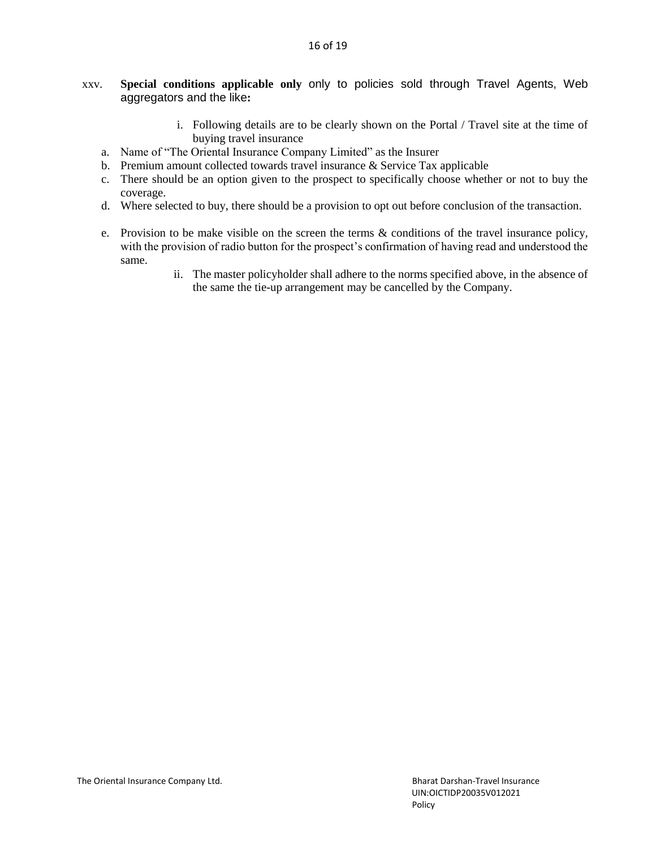- xxv. **Special conditions applicable only** only to policies sold through Travel Agents, Web aggregators and the like**:**
	- i. Following details are to be clearly shown on the Portal / Travel site at the time of buying travel insurance
	- a. Name of "The Oriental Insurance Company Limited" as the Insurer
	- b. Premium amount collected towards travel insurance & Service Tax applicable
	- c. There should be an option given to the prospect to specifically choose whether or not to buy the coverage.
	- d. Where selected to buy, there should be a provision to opt out before conclusion of the transaction.
	- e. Provision to be make visible on the screen the terms & conditions of the travel insurance policy, with the provision of radio button for the prospect's confirmation of having read and understood the same.
		- ii. The master policyholder shall adhere to the norms specified above, in the absence of the same the tie-up arrangement may be cancelled by the Company.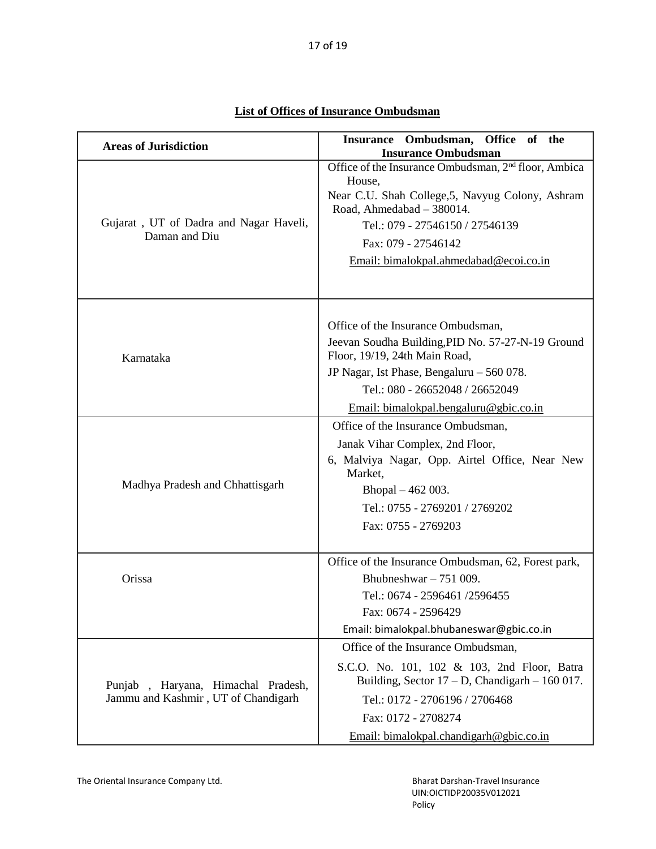| <b>Areas of Jurisdiction</b>                                              | Insurance Ombudsman, Office of the<br><b>Insurance Ombudsman</b>                                                                                                                                                                                                |
|---------------------------------------------------------------------------|-----------------------------------------------------------------------------------------------------------------------------------------------------------------------------------------------------------------------------------------------------------------|
| Gujarat, UT of Dadra and Nagar Haveli,<br>Daman and Diu                   | Office of the Insurance Ombudsman, 2 <sup>nd</sup> floor, Ambica<br>House,<br>Near C.U. Shah College, 5, Navyug Colony, Ashram<br>Road, Ahmedabad - 380014.<br>Tel.: 079 - 27546150 / 27546139<br>Fax: 079 - 27546142<br>Email: bimalokpal.ahmedabad@ecoi.co.in |
| Karnataka                                                                 | Office of the Insurance Ombudsman,<br>Jeevan Soudha Building, PID No. 57-27-N-19 Ground<br>Floor, 19/19, 24th Main Road,<br>JP Nagar, Ist Phase, Bengaluru - 560 078.<br>Tel.: 080 - 26652048 / 26652049<br>Email: bimalokpal.bengaluru@gbic.co.in              |
| Madhya Pradesh and Chhattisgarh                                           | Office of the Insurance Ombudsman,<br>Janak Vihar Complex, 2nd Floor,<br>6, Malviya Nagar, Opp. Airtel Office, Near New<br>Market,<br>Bhopal - 462 003.<br>Tel.: 0755 - 2769201 / 2769202<br>Fax: 0755 - 2769203                                                |
| Orissa                                                                    | Office of the Insurance Ombudsman, 62, Forest park,<br>Bhubneshwar $-751009$ .<br>Tel.: 0674 - 2596461 /2596455<br>Fax: 0674 - 2596429<br>Email: bimalokpal.bhubaneswar@gbic.co.in                                                                              |
| Punjab, Haryana, Himachal Pradesh,<br>Jammu and Kashmir, UT of Chandigarh | Office of the Insurance Ombudsman,<br>S.C.O. No. 101, 102 & 103, 2nd Floor, Batra<br>Building, Sector $17 - D$ , Chandigarh $- 160017$ .<br>Tel.: 0172 - 2706196 / 2706468<br>Fax: 0172 - 2708274<br>Email: bimalokpal.chandigarh@gbic.co.in                    |

# **List of Offices of Insurance Ombudsman**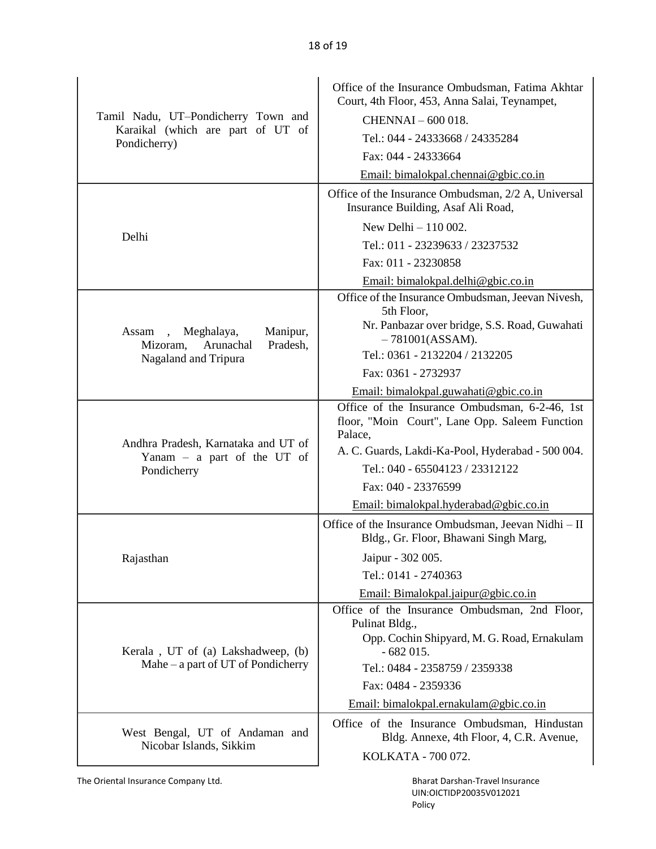|                                                                       | Office of the Insurance Ombudsman, Fatima Akhtar<br>Court, 4th Floor, 453, Anna Salai, Teynampet,                            |
|-----------------------------------------------------------------------|------------------------------------------------------------------------------------------------------------------------------|
| Tamil Nadu, UT-Pondicherry Town and                                   | CHENNAI - 600 018.                                                                                                           |
| Karaikal (which are part of UT of<br>Pondicherry)                     | Tel.: 044 - 24333668 / 24335284                                                                                              |
|                                                                       | Fax: 044 - 24333664                                                                                                          |
|                                                                       | Email: bimalokpal.chennai@gbic.co.in                                                                                         |
|                                                                       | Office of the Insurance Ombudsman, 2/2 A, Universal<br>Insurance Building, Asaf Ali Road,                                    |
|                                                                       | New Delhi $-110002$ .                                                                                                        |
| Delhi                                                                 | Tel.: 011 - 23239633 / 23237532                                                                                              |
|                                                                       | Fax: 011 - 23230858                                                                                                          |
|                                                                       | Email: bimalokpal.delhi@gbic.co.in                                                                                           |
|                                                                       | Office of the Insurance Ombudsman, Jeevan Nivesh,<br>5th Floor,                                                              |
| Meghalaya,<br>Manipur,<br>Assam,<br>Pradesh,<br>Arunachal<br>Mizoram, | Nr. Panbazar over bridge, S.S. Road, Guwahati<br>$-781001(ASSAM).$                                                           |
| Nagaland and Tripura                                                  | Tel.: 0361 - 2132204 / 2132205                                                                                               |
|                                                                       | Fax: 0361 - 2732937                                                                                                          |
|                                                                       | Email: bimalokpal.guwahati@gbic.co.in                                                                                        |
|                                                                       | Office of the Insurance Ombudsman, 6-2-46, 1st<br>floor, "Moin Court", Lane Opp. Saleem Function<br>Palace,                  |
| Andhra Pradesh, Karnataka and UT of<br>Yanam $-$ a part of the UT of  | A. C. Guards, Lakdi-Ka-Pool, Hyderabad - 500 004.                                                                            |
| Pondicherry                                                           | Tel.: 040 - 65504123 / 23312122                                                                                              |
|                                                                       | Fax: 040 - 23376599                                                                                                          |
|                                                                       | Email: bimalokpal.hyderabad@gbic.co.in                                                                                       |
|                                                                       | Office of the Insurance Ombudsman, Jeevan Nidhi – II<br>Bldg., Gr. Floor, Bhawani Singh Marg,                                |
| Rajasthan                                                             | Jaipur - 302 005.                                                                                                            |
|                                                                       | Tel.: 0141 - 2740363                                                                                                         |
|                                                                       | Email: Bimalokpal.jaipur@gbic.co.in                                                                                          |
| Kerala, UT of (a) Lakshadweep, (b)                                    | Office of the Insurance Ombudsman, 2nd Floor,<br>Pulinat Bldg.,<br>Opp. Cochin Shipyard, M. G. Road, Ernakulam<br>$-682015.$ |
| Mahe – a part of UT of Pondicherry                                    | Tel.: 0484 - 2358759 / 2359338                                                                                               |
|                                                                       | Fax: 0484 - 2359336                                                                                                          |
|                                                                       | Email: bimalokpal.ernakulam@gbic.co.in                                                                                       |
| West Bengal, UT of Andaman and<br>Nicobar Islands, Sikkim             | Office of the Insurance Ombudsman, Hindustan<br>Bldg. Annexe, 4th Floor, 4, C.R. Avenue,                                     |
|                                                                       | KOLKATA - 700 072.                                                                                                           |

The Oriental Insurance Company Ltd. **Bharat Darshan-Travel Insurance Bharat Darshan-Travel Insurance** 

 UIN:OICTIDP20035V012021 Policy